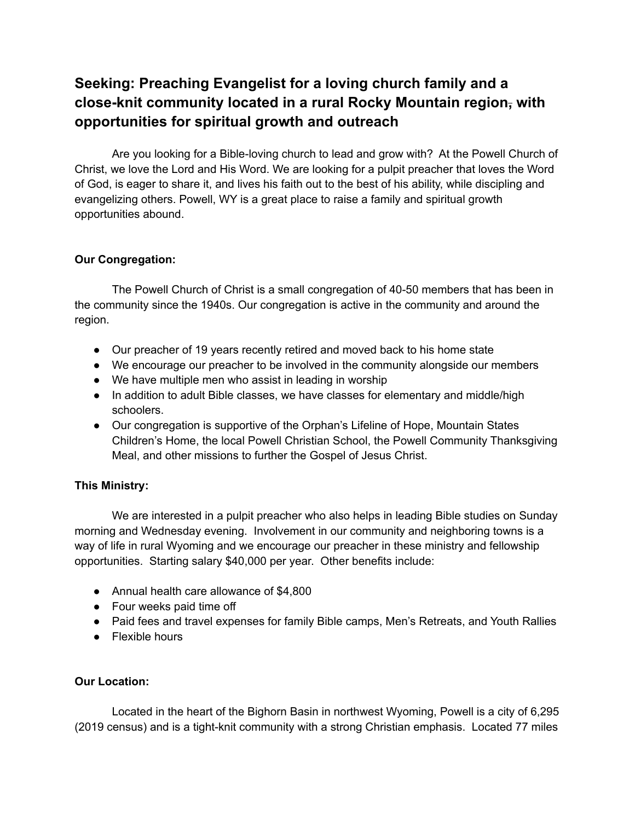# **Seeking: Preaching Evangelist for a loving church family and a close-knit community located in a rural Rocky Mountain region, with opportunities for spiritual growth and outreach**

Are you looking for a Bible-loving church to lead and grow with? At the Powell Church of Christ, we love the Lord and His Word. We are looking for a pulpit preacher that loves the Word of God, is eager to share it, and lives his faith out to the best of his ability, while discipling and evangelizing others. Powell, WY is a great place to raise a family and spiritual growth opportunities abound.

### **Our Congregation:**

The Powell Church of Christ is a small congregation of 40-50 members that has been in the community since the 1940s. Our congregation is active in the community and around the region.

- Our preacher of 19 years recently retired and moved back to his home state
- We encourage our preacher to be involved in the community alongside our members
- We have multiple men who assist in leading in worship
- In addition to adult Bible classes, we have classes for elementary and middle/high schoolers.
- Our congregation is supportive of the Orphan's Lifeline of Hope, Mountain States Children's Home, the local Powell Christian School, the Powell Community Thanksgiving Meal, and other missions to further the Gospel of Jesus Christ.

# **This Ministry:**

We are interested in a pulpit preacher who also helps in leading Bible studies on Sunday morning and Wednesday evening. Involvement in our community and neighboring towns is a way of life in rural Wyoming and we encourage our preacher in these ministry and fellowship opportunities. Starting salary \$40,000 per year. Other benefits include:

- Annual health care allowance of \$4,800
- Four weeks paid time off
- Paid fees and travel expenses for family Bible camps, Men's Retreats, and Youth Rallies
- Flexible hours

#### **Our Location:**

Located in the heart of the Bighorn Basin in northwest Wyoming, Powell is a city of 6,295 (2019 census) and is a tight-knit community with a strong Christian emphasis. Located 77 miles